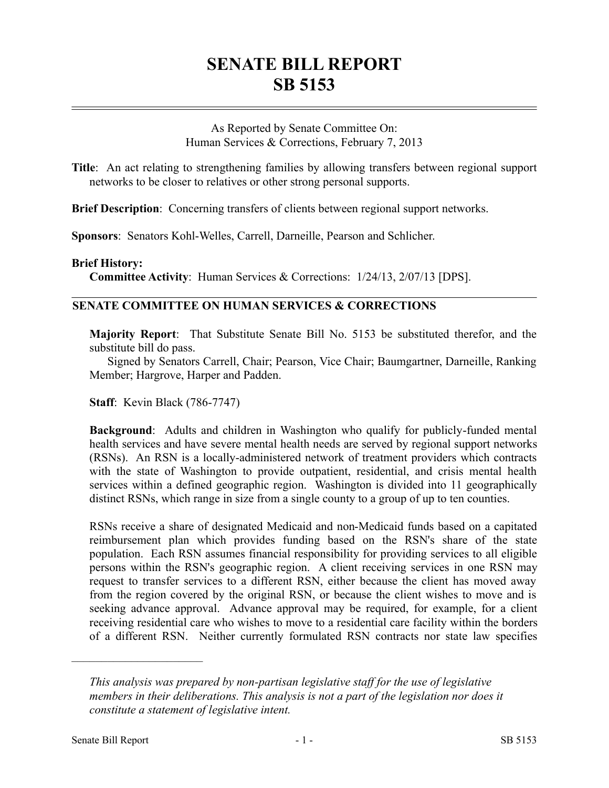## **SENATE BILL REPORT SB 5153**

As Reported by Senate Committee On: Human Services & Corrections, February 7, 2013

**Title**: An act relating to strengthening families by allowing transfers between regional support networks to be closer to relatives or other strong personal supports.

**Brief Description**: Concerning transfers of clients between regional support networks.

**Sponsors**: Senators Kohl-Welles, Carrell, Darneille, Pearson and Schlicher.

## **Brief History:**

**Committee Activity**: Human Services & Corrections: 1/24/13, 2/07/13 [DPS].

## **SENATE COMMITTEE ON HUMAN SERVICES & CORRECTIONS**

**Majority Report**: That Substitute Senate Bill No. 5153 be substituted therefor, and the substitute bill do pass.

Signed by Senators Carrell, Chair; Pearson, Vice Chair; Baumgartner, Darneille, Ranking Member; Hargrove, Harper and Padden.

**Staff**: Kevin Black (786-7747)

**Background**: Adults and children in Washington who qualify for publicly-funded mental health services and have severe mental health needs are served by regional support networks (RSNs). An RSN is a locally-administered network of treatment providers which contracts with the state of Washington to provide outpatient, residential, and crisis mental health services within a defined geographic region. Washington is divided into 11 geographically distinct RSNs, which range in size from a single county to a group of up to ten counties.

RSNs receive a share of designated Medicaid and non-Medicaid funds based on a capitated reimbursement plan which provides funding based on the RSN's share of the state population. Each RSN assumes financial responsibility for providing services to all eligible persons within the RSN's geographic region. A client receiving services in one RSN may request to transfer services to a different RSN, either because the client has moved away from the region covered by the original RSN, or because the client wishes to move and is seeking advance approval. Advance approval may be required, for example, for a client receiving residential care who wishes to move to a residential care facility within the borders of a different RSN. Neither currently formulated RSN contracts nor state law specifies

––––––––––––––––––––––

*This analysis was prepared by non-partisan legislative staff for the use of legislative members in their deliberations. This analysis is not a part of the legislation nor does it constitute a statement of legislative intent.*